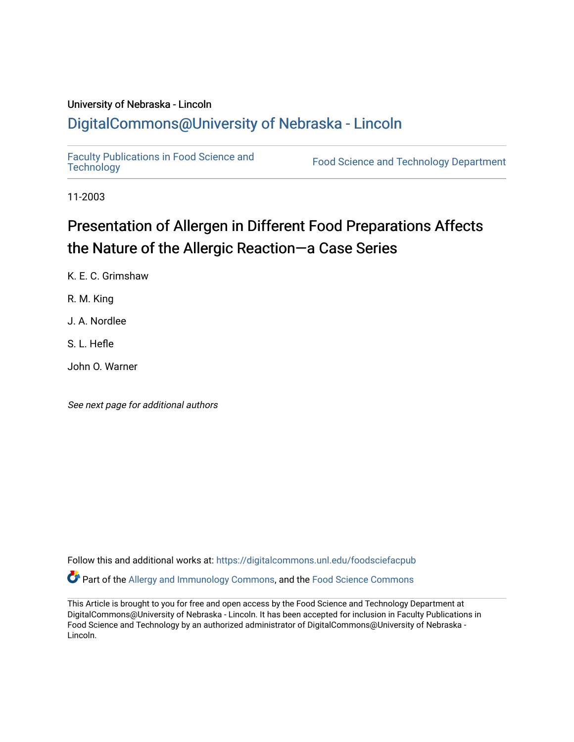### University of Nebraska - Lincoln [DigitalCommons@University of Nebraska - Lincoln](https://digitalcommons.unl.edu/)

[Faculty Publications in Food Science and](https://digitalcommons.unl.edu/foodsciefacpub)

Food Science and [Technology](https://digitalcommons.unl.edu/foodsciefacpub) Department

11-2003

## Presentation of Allergen in Different Food Preparations Affects the Nature of the Allergic Reaction—a Case Series

K. E. C. Grimshaw

R. M. King

J. A. Nordlee

S. L. Hefle

John O. Warner

See next page for additional authors

Follow this and additional works at: [https://digitalcommons.unl.edu/foodsciefacpub](https://digitalcommons.unl.edu/foodsciefacpub?utm_source=digitalcommons.unl.edu%2Ffoodsciefacpub%2F493&utm_medium=PDF&utm_campaign=PDFCoverPages)  Part of the [Allergy and Immunology Commons](https://network.bepress.com/hgg/discipline/681?utm_source=digitalcommons.unl.edu%2Ffoodsciefacpub%2F493&utm_medium=PDF&utm_campaign=PDFCoverPages), and the [Food Science Commons](https://network.bepress.com/hgg/discipline/84?utm_source=digitalcommons.unl.edu%2Ffoodsciefacpub%2F493&utm_medium=PDF&utm_campaign=PDFCoverPages) 

This Article is brought to you for free and open access by the Food Science and Technology Department at DigitalCommons@University of Nebraska - Lincoln. It has been accepted for inclusion in Faculty Publications in Food Science and Technology by an authorized administrator of DigitalCommons@University of Nebraska -Lincoln.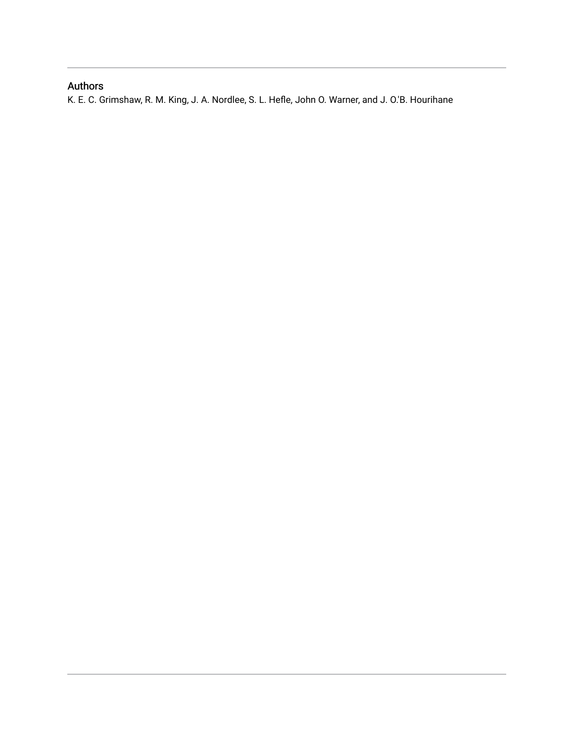### Authors

K. E. C. Grimshaw, R. M. King, J. A. Nordlee, S. L. Hefle, John O. Warner, and J. O.'B. Hourihane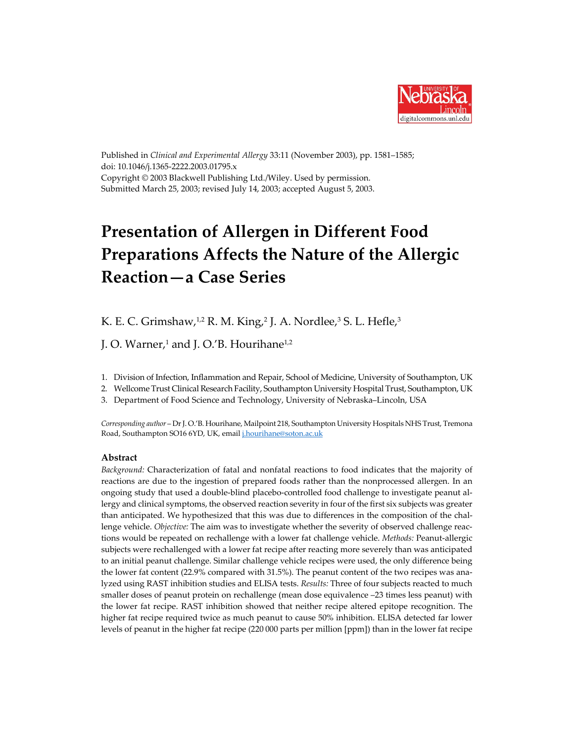

Published in *Clinical and Experimental Allergy* 33:11 (November 2003), pp. 1581–1585; doi: 10.1046/j.1365-2222.2003.01795.x Copyright © 2003 Blackwell Publishing Ltd./Wiley. Used by permission. Submitted March 25, 2003; revised July 14, 2003; accepted August 5, 2003.

# **Presentation of Allergen in Different Food Preparations Affects the Nature of the Allergic Reaction—a Case Series**

K. E. C. Grimshaw,<sup>1,2</sup> R. M. King,<sup>2</sup> J. A. Nordlee,<sup>3</sup> S. L. Hefle,<sup>3</sup>

J. O. Warner, <sup>1</sup> and J. O.'B. Hourihane1,2

- 1. Division of Infection, Inflammation and Repair, School of Medicine, University of Southampton, UK
- 2. Wellcome Trust Clinical Research Facility, Southampton University Hospital Trust, Southampton, UK
- 3. Department of Food Science and Technology, University of Nebraska–Lincoln, USA

*Corresponding author* – Dr J. O.'B. Hourihane, Mailpoint 218, Southampton University Hospitals NHS Trust, Tremona Road, Southampton SO16 6YD, UK, email *j.hourihane@soton.ac.uk* 

#### **Abstract**

*Background:* Characterization of fatal and nonfatal reactions to food indicates that the majority of reactions are due to the ingestion of prepared foods rather than the nonprocessed allergen. In an ongoing study that used a double-blind placebo-controlled food challenge to investigate peanut allergy and clinical symptoms, the observed reaction severity in four of the first six subjects was greater than anticipated. We hypothesized that this was due to differences in the composition of the challenge vehicle. *Objective:* The aim was to investigate whether the severity of observed challenge reactions would be repeated on rechallenge with a lower fat challenge vehicle. *Methods:* Peanut-allergic subjects were rechallenged with a lower fat recipe after reacting more severely than was anticipated to an initial peanut challenge. Similar challenge vehicle recipes were used, the only difference being the lower fat content (22.9% compared with 31.5%). The peanut content of the two recipes was analyzed using RAST inhibition studies and ELISA tests. *Results:* Three of four subjects reacted to much smaller doses of peanut protein on rechallenge (mean dose equivalence –23 times less peanut) with the lower fat recipe. RAST inhibition showed that neither recipe altered epitope recognition. The higher fat recipe required twice as much peanut to cause 50% inhibition. ELISA detected far lower levels of peanut in the higher fat recipe (220 000 parts per million [ppm]) than in the lower fat recipe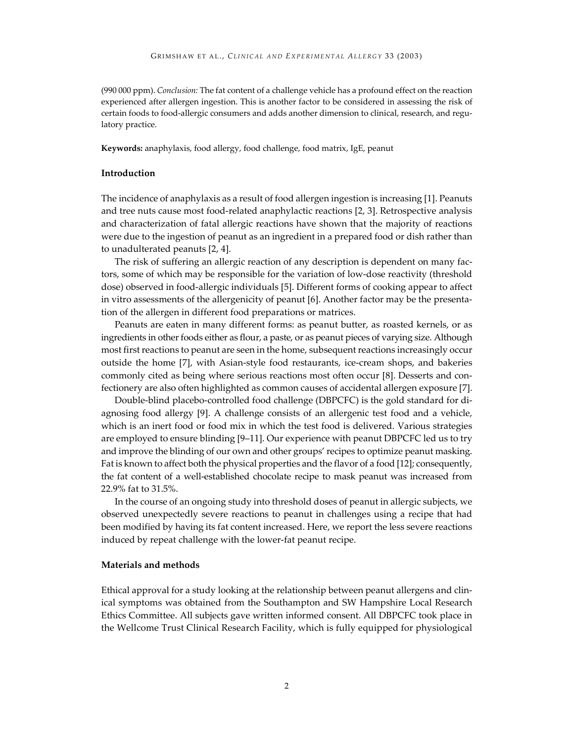(990 000 ppm). *Conclusion:* The fat content of a challenge vehicle has a profound effect on the reaction experienced after allergen ingestion. This is another factor to be considered in assessing the risk of certain foods to food-allergic consumers and adds another dimension to clinical, research, and regulatory practice.

**Keywords:** anaphylaxis, food allergy, food challenge, food matrix, IgE, peanut

#### **Introduction**

The incidence of anaphylaxis as a result of food allergen ingestion is increasing [1]. Peanuts and tree nuts cause most food-related anaphylactic reactions [2, 3]. Retrospective analysis and characterization of fatal allergic reactions have shown that the majority of reactions were due to the ingestion of peanut as an ingredient in a prepared food or dish rather than to unadulterated peanuts [2, 4].

The risk of suffering an allergic reaction of any description is dependent on many factors, some of which may be responsible for the variation of low-dose reactivity (threshold dose) observed in food-allergic individuals [5]. Different forms of cooking appear to affect in vitro assessments of the allergenicity of peanut [6]. Another factor may be the presentation of the allergen in different food preparations or matrices.

Peanuts are eaten in many different forms: as peanut butter, as roasted kernels, or as ingredients in other foods either as flour, a paste, or as peanut pieces of varying size. Although most first reactions to peanut are seen in the home, subsequent reactions increasingly occur outside the home [7], with Asian-style food restaurants, ice-cream shops, and bakeries commonly cited as being where serious reactions most often occur [8]. Desserts and confectionery are also often highlighted as common causes of accidental allergen exposure [7].

Double-blind placebo-controlled food challenge (DBPCFC) is the gold standard for diagnosing food allergy [9]. A challenge consists of an allergenic test food and a vehicle, which is an inert food or food mix in which the test food is delivered. Various strategies are employed to ensure blinding [9–11]. Our experience with peanut DBPCFC led us to try and improve the blinding of our own and other groups' recipes to optimize peanut masking. Fat is known to affect both the physical properties and the flavor of a food [12]; consequently, the fat content of a well-established chocolate recipe to mask peanut was increased from 22.9% fat to 31.5%.

In the course of an ongoing study into threshold doses of peanut in allergic subjects, we observed unexpectedly severe reactions to peanut in challenges using a recipe that had been modified by having its fat content increased. Here, we report the less severe reactions induced by repeat challenge with the lower-fat peanut recipe.

#### **Materials and methods**

Ethical approval for a study looking at the relationship between peanut allergens and clinical symptoms was obtained from the Southampton and SW Hampshire Local Research Ethics Committee. All subjects gave written informed consent. All DBPCFC took place in the Wellcome Trust Clinical Research Facility, which is fully equipped for physiological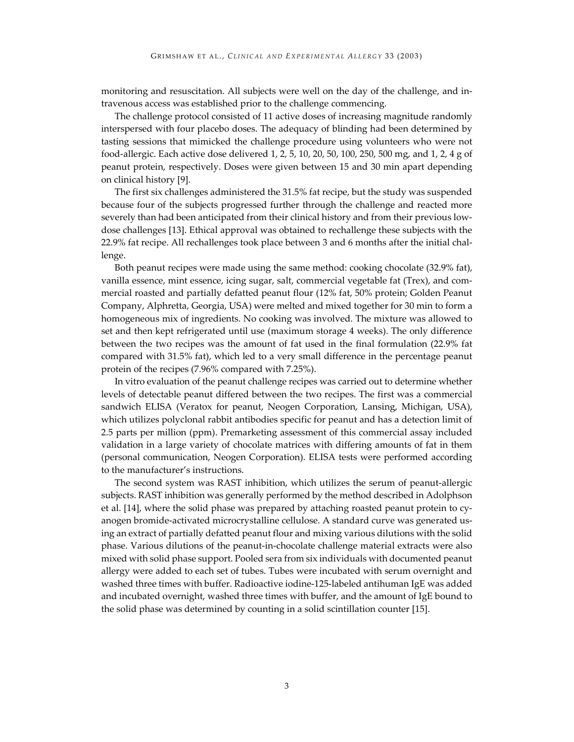monitoring and resuscitation. All subjects were well on the day of the challenge, and intravenous access was established prior to the challenge commencing.

The challenge protocol consisted of 11 active doses of increasing magnitude randomly interspersed with four placebo doses. The adequacy of blinding had been determined by tasting sessions that mimicked the challenge procedure using volunteers who were not food-allergic. Each active dose delivered 1, 2, 5, 10, 20, 50, 100, 250, 500 mg, and 1, 2, 4 g of peanut protein, respectively. Doses were given between 15 and 30 min apart depending on clinical history [9].

The first six challenges administered the 31.5% fat recipe, but the study was suspended because four of the subjects progressed further through the challenge and reacted more severely than had been anticipated from their clinical history and from their previous lowdose challenges [13]. Ethical approval was obtained to rechallenge these subjects with the 22.9% fat recipe. All rechallenges took place between 3 and 6 months after the initial challenge.

Both peanut recipes were made using the same method: cooking chocolate (32.9% fat), vanilla essence, mint essence, icing sugar, salt, commercial vegetable fat (Trex), and commercial roasted and partially defatted peanut flour (12% fat, 50% protein; Golden Peanut Company, Alphretta, Georgia, USA) were melted and mixed together for 30 min to form a homogeneous mix of ingredients. No cooking was involved. The mixture was allowed to set and then kept refrigerated until use (maximum storage 4 weeks). The only difference between the two recipes was the amount of fat used in the final formulation (22.9% fat compared with 31.5% fat), which led to a very small difference in the percentage peanut protein of the recipes (7.96% compared with 7.25%).

In vitro evaluation of the peanut challenge recipes was carried out to determine whether levels of detectable peanut differed between the two recipes. The first was a commercial sandwich ELISA (Veratox for peanut, Neogen Corporation, Lansing, Michigan, USA), which utilizes polyclonal rabbit antibodies specific for peanut and has a detection limit of 2.5 parts per million (ppm). Premarketing assessment of this commercial assay included validation in a large variety of chocolate matrices with differing amounts of fat in them (personal communication, Neogen Corporation). ELISA tests were performed according to the manufacturer's instructions.

The second system was RAST inhibition, which utilizes the serum of peanut-allergic subjects. RAST inhibition was generally performed by the method described in Adolphson et al. [14], where the solid phase was prepared by attaching roasted peanut protein to cyanogen bromide-activated microcrystalline cellulose. A standard curve was generated using an extract of partially defatted peanut flour and mixing various dilutions with the solid phase. Various dilutions of the peanut-in-chocolate challenge material extracts were also mixed with solid phase support. Pooled sera from six individuals with documented peanut allergy were added to each set of tubes. Tubes were incubated with serum overnight and washed three times with buffer. Radioactive iodine-125-labeled antihuman IgE was added and incubated overnight, washed three times with buffer, and the amount of IgE bound to the solid phase was determined by counting in a solid scintillation counter [15].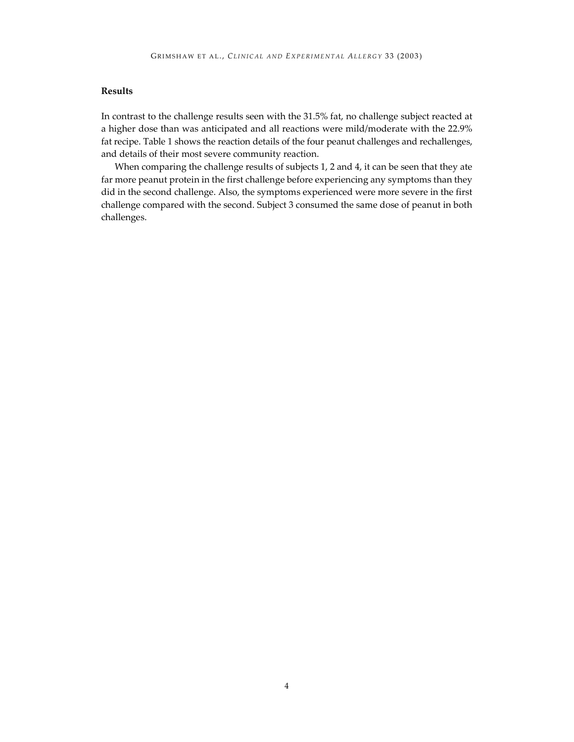#### **Results**

In contrast to the challenge results seen with the 31.5% fat, no challenge subject reacted at a higher dose than was anticipated and all reactions were mild/moderate with the 22.9% fat recipe. Table 1 shows the reaction details of the four peanut challenges and rechallenges, and details of their most severe community reaction.

When comparing the challenge results of subjects 1, 2 and 4, it can be seen that they ate far more peanut protein in the first challenge before experiencing any symptoms than they did in the second challenge. Also, the symptoms experienced were more severe in the first challenge compared with the second. Subject 3 consumed the same dose of peanut in both challenges.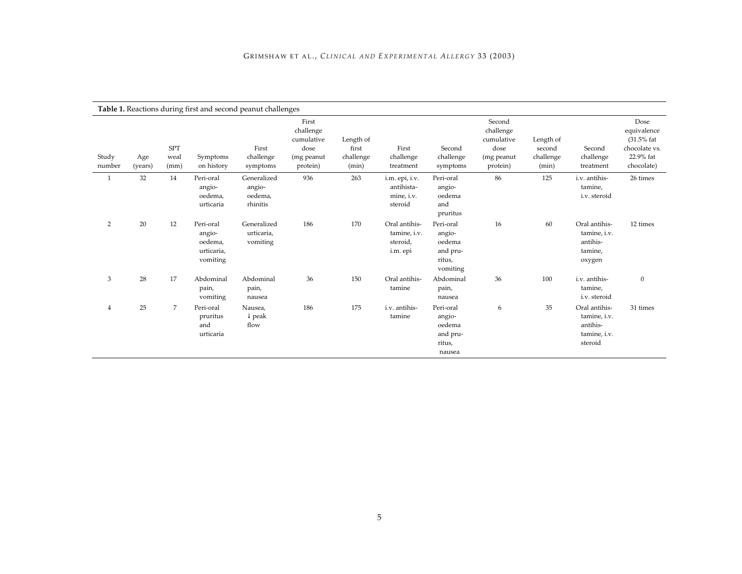| Study<br>number | Age<br>(years) | <b>SPT</b><br>weal<br>(mm) | Symptoms<br>on history                                   | First<br>challenge<br>symptoms               | First<br>challenge<br>cumulative<br>dose<br>(mg peanut<br>protein) | Length of<br>first<br>challenge<br>(min) | First<br>challenge<br>treatment                       | Second<br>challenge<br>symptoms                                 | Second<br>challenge<br>cumulative<br>dose<br>(mg peanut<br>protein) | Length of<br>second<br>challenge<br>(min) | Second<br>challenge<br>treatment                                     | Dose<br>equivalence<br>(31.5% fat<br>chocolate vs.<br>22.9% fat<br>chocolate) |
|-----------------|----------------|----------------------------|----------------------------------------------------------|----------------------------------------------|--------------------------------------------------------------------|------------------------------------------|-------------------------------------------------------|-----------------------------------------------------------------|---------------------------------------------------------------------|-------------------------------------------|----------------------------------------------------------------------|-------------------------------------------------------------------------------|
| $\mathbf{1}$    | 32             | 14                         | Peri-oral<br>angio-<br>oedema,<br>urticaria              | Generalized<br>angio-<br>oedema,<br>rhinitis | 936                                                                | 263                                      | i.m. epi, i.v.<br>antihista-<br>mine, i.v.<br>steroid | Peri-oral<br>angio-<br>oedema<br>and<br>pruritus                | 86                                                                  | 125                                       | i.v. antihis-<br>tamine,<br>i.v. steroid                             | 26 times                                                                      |
| $\overline{2}$  | 20             | 12                         | Peri-oral<br>angio-<br>oedema,<br>urticaria,<br>vomiting | Generalized<br>urticaria,<br>vomiting        | 186                                                                | 170                                      | Oral antihis-<br>tamine, i.v.<br>steroid,<br>i.m. epi | Peri-oral<br>angio-<br>oedema<br>and pru-<br>ritus,<br>vomiting | 16                                                                  | 60                                        | Oral antihis-<br>tamine, i.v.<br>antihis-<br>tamine,<br>oxygen       | 12 times                                                                      |
| 3               | 28             | 17                         | Abdominal<br>pain,<br>vomiting                           | Abdominal<br>pain,<br>nausea                 | 36                                                                 | 150                                      | Oral antihis-<br>tamine                               | Abdominal<br>pain,<br>nausea                                    | 36                                                                  | 100                                       | i.v. antihis-<br>tamine,<br>i.v. steroid                             | $\boldsymbol{0}$                                                              |
| 4               | 25             | 7                          | Peri-oral<br>pruritus<br>and<br>urticaria                | Nausea,<br>$\downarrow$ peak<br>flow         | 186                                                                | 175                                      | i.v. antihis-<br>tamine                               | Peri-oral<br>angio-<br>oedema<br>and pru-<br>ritus,<br>nausea   | 6                                                                   | 35                                        | Oral antihis-<br>tamine, i.v.<br>antihis-<br>tamine, i.v.<br>steroid | 31 times                                                                      |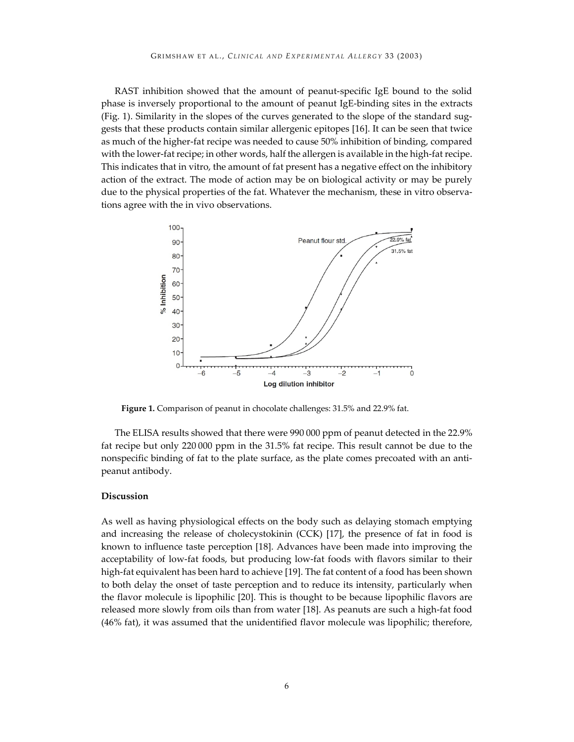RAST inhibition showed that the amount of peanut-specific IgE bound to the solid phase is inversely proportional to the amount of peanut IgE-binding sites in the extracts (Fig. 1). Similarity in the slopes of the curves generated to the slope of the standard suggests that these products contain similar allergenic epitopes [16]. It can be seen that twice as much of the higher-fat recipe was needed to cause 50% inhibition of binding, compared with the lower-fat recipe; in other words, half the allergen is available in the high-fat recipe. This indicates that in vitro, the amount of fat present has a negative effect on the inhibitory action of the extract. The mode of action may be on biological activity or may be purely due to the physical properties of the fat. Whatever the mechanism, these in vitro observations agree with the in vivo observations.



**Figure 1.** Comparison of peanut in chocolate challenges: 31.5% and 22.9% fat.

The ELISA results showed that there were 990 000 ppm of peanut detected in the 22.9% fat recipe but only 220 000 ppm in the 31.5% fat recipe. This result cannot be due to the nonspecific binding of fat to the plate surface, as the plate comes precoated with an antipeanut antibody.

#### **Discussion**

As well as having physiological effects on the body such as delaying stomach emptying and increasing the release of cholecystokinin (CCK) [17], the presence of fat in food is known to influence taste perception [18]. Advances have been made into improving the acceptability of low-fat foods, but producing low-fat foods with flavors similar to their high-fat equivalent has been hard to achieve [19]. The fat content of a food has been shown to both delay the onset of taste perception and to reduce its intensity, particularly when the flavor molecule is lipophilic [20]. This is thought to be because lipophilic flavors are released more slowly from oils than from water [18]. As peanuts are such a high-fat food (46% fat), it was assumed that the unidentified flavor molecule was lipophilic; therefore,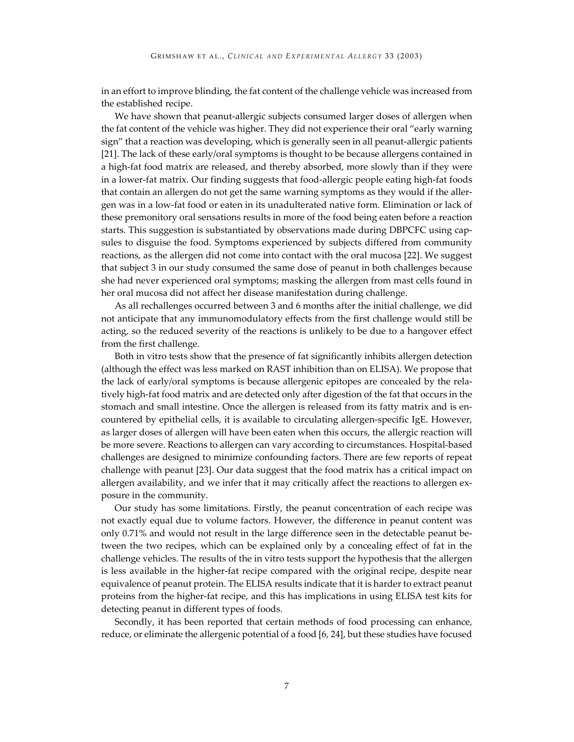in an effort to improve blinding, the fat content of the challenge vehicle was increased from the established recipe.

We have shown that peanut-allergic subjects consumed larger doses of allergen when the fat content of the vehicle was higher. They did not experience their oral "early warning sign" that a reaction was developing, which is generally seen in all peanut-allergic patients [21]. The lack of these early/oral symptoms is thought to be because allergens contained in a high-fat food matrix are released, and thereby absorbed, more slowly than if they were in a lower-fat matrix. Our finding suggests that food-allergic people eating high-fat foods that contain an allergen do not get the same warning symptoms as they would if the allergen was in a low-fat food or eaten in its unadulterated native form. Elimination or lack of these premonitory oral sensations results in more of the food being eaten before a reaction starts. This suggestion is substantiated by observations made during DBPCFC using capsules to disguise the food. Symptoms experienced by subjects differed from community reactions, as the allergen did not come into contact with the oral mucosa [22]. We suggest that subject 3 in our study consumed the same dose of peanut in both challenges because she had never experienced oral symptoms; masking the allergen from mast cells found in her oral mucosa did not affect her disease manifestation during challenge.

As all rechallenges occurred between 3 and 6 months after the initial challenge, we did not anticipate that any immunomodulatory effects from the first challenge would still be acting, so the reduced severity of the reactions is unlikely to be due to a hangover effect from the first challenge.

Both in vitro tests show that the presence of fat significantly inhibits allergen detection (although the effect was less marked on RAST inhibition than on ELISA). We propose that the lack of early/oral symptoms is because allergenic epitopes are concealed by the relatively high-fat food matrix and are detected only after digestion of the fat that occurs in the stomach and small intestine. Once the allergen is released from its fatty matrix and is encountered by epithelial cells, it is available to circulating allergen-specific IgE. However, as larger doses of allergen will have been eaten when this occurs, the allergic reaction will be more severe. Reactions to allergen can vary according to circumstances. Hospital-based challenges are designed to minimize confounding factors. There are few reports of repeat challenge with peanut [23]. Our data suggest that the food matrix has a critical impact on allergen availability, and we infer that it may critically affect the reactions to allergen exposure in the community.

Our study has some limitations. Firstly, the peanut concentration of each recipe was not exactly equal due to volume factors. However, the difference in peanut content was only 0.71% and would not result in the large difference seen in the detectable peanut between the two recipes, which can be explained only by a concealing effect of fat in the challenge vehicles. The results of the in vitro tests support the hypothesis that the allergen is less available in the higher-fat recipe compared with the original recipe, despite near equivalence of peanut protein. The ELISA results indicate that it is harder to extract peanut proteins from the higher-fat recipe, and this has implications in using ELISA test kits for detecting peanut in different types of foods.

Secondly, it has been reported that certain methods of food processing can enhance, reduce, or eliminate the allergenic potential of a food [6, 24], but these studies have focused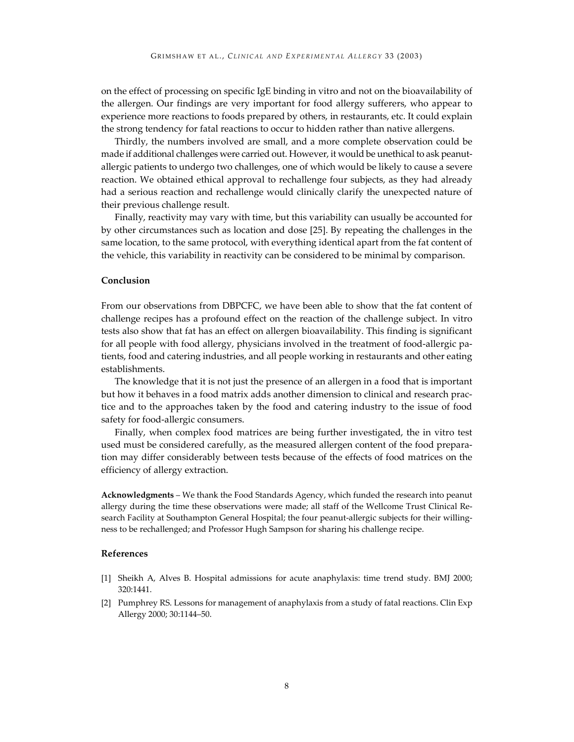on the effect of processing on specific IgE binding in vitro and not on the bioavailability of the allergen. Our findings are very important for food allergy sufferers, who appear to experience more reactions to foods prepared by others, in restaurants, etc. It could explain the strong tendency for fatal reactions to occur to hidden rather than native allergens.

Thirdly, the numbers involved are small, and a more complete observation could be made if additional challenges were carried out. However, it would be unethical to ask peanutallergic patients to undergo two challenges, one of which would be likely to cause a severe reaction. We obtained ethical approval to rechallenge four subjects, as they had already had a serious reaction and rechallenge would clinically clarify the unexpected nature of their previous challenge result.

Finally, reactivity may vary with time, but this variability can usually be accounted for by other circumstances such as location and dose [25]. By repeating the challenges in the same location, to the same protocol, with everything identical apart from the fat content of the vehicle, this variability in reactivity can be considered to be minimal by comparison.

#### **Conclusion**

From our observations from DBPCFC, we have been able to show that the fat content of challenge recipes has a profound effect on the reaction of the challenge subject. In vitro tests also show that fat has an effect on allergen bioavailability. This finding is significant for all people with food allergy, physicians involved in the treatment of food-allergic patients, food and catering industries, and all people working in restaurants and other eating establishments.

The knowledge that it is not just the presence of an allergen in a food that is important but how it behaves in a food matrix adds another dimension to clinical and research practice and to the approaches taken by the food and catering industry to the issue of food safety for food-allergic consumers.

Finally, when complex food matrices are being further investigated, the in vitro test used must be considered carefully, as the measured allergen content of the food preparation may differ considerably between tests because of the effects of food matrices on the efficiency of allergy extraction.

**Acknowledgments** – We thank the Food Standards Agency, which funded the research into peanut allergy during the time these observations were made; all staff of the Wellcome Trust Clinical Research Facility at Southampton General Hospital; the four peanut-allergic subjects for their willingness to be rechallenged; and Professor Hugh Sampson for sharing his challenge recipe.

#### **References**

- [1] Sheikh A, Alves B. Hospital admissions for acute anaphylaxis: time trend study. BMJ 2000; 320:1441.
- [2] Pumphrey RS. Lessons for management of anaphylaxis from a study of fatal reactions. Clin Exp Allergy 2000; 30:1144–50.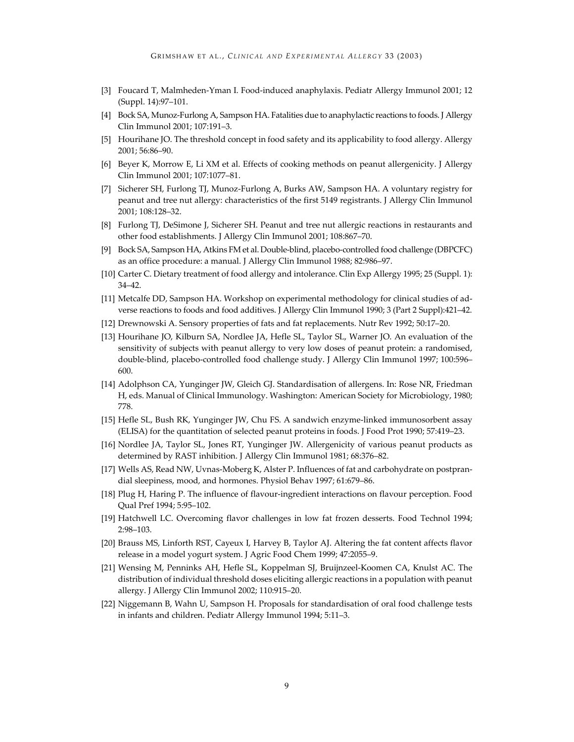- [3] Foucard T, Malmheden-Yman I. Food-induced anaphylaxis. Pediatr Allergy Immunol 2001; 12 (Suppl. 14):97–101.
- [4] Bock SA, Munoz-Furlong A, Sampson HA. Fatalities due to anaphylactic reactions to foods. J Allergy Clin Immunol 2001; 107:191–3.
- [5] Hourihane JO. The threshold concept in food safety and its applicability to food allergy. Allergy 2001; 56:86–90.
- [6] Beyer K, Morrow E, Li XM et al. Effects of cooking methods on peanut allergenicity. J Allergy Clin Immunol 2001; 107:1077–81.
- [7] Sicherer SH, Furlong TJ, Munoz-Furlong A, Burks AW, Sampson HA. A voluntary registry for peanut and tree nut allergy: characteristics of the first 5149 registrants. J Allergy Clin Immunol 2001; 108:128–32.
- [8] Furlong TJ, DeSimone J, Sicherer SH. Peanut and tree nut allergic reactions in restaurants and other food establishments. J Allergy Clin Immunol 2001; 108:867–70.
- [9] Bock SA, Sampson HA, Atkins FM et al. Double-blind, placebo-controlled food challenge (DBPCFC) as an office procedure: a manual. J Allergy Clin Immunol 1988; 82:986–97.
- [10] Carter C. Dietary treatment of food allergy and intolerance. Clin Exp Allergy 1995; 25 (Suppl. 1): 34–42.
- [11] Metcalfe DD, Sampson HA. Workshop on experimental methodology for clinical studies of adverse reactions to foods and food additives. J Allergy Clin Immunol 1990; 3 (Part 2 Suppl):421–42.
- [12] Drewnowski A. Sensory properties of fats and fat replacements. Nutr Rev 1992; 50:17–20.
- [13] Hourihane JO, Kilburn SA, Nordlee JA, Hefle SL, Taylor SL, Warner JO. An evaluation of the sensitivity of subjects with peanut allergy to very low doses of peanut protein: a randomised, double-blind, placebo-controlled food challenge study. J Allergy Clin Immunol 1997; 100:596– 600.
- [14] Adolphson CA, Yunginger JW, Gleich GJ. Standardisation of allergens. In: Rose NR, Friedman H, eds. Manual of Clinical Immunology. Washington: American Society for Microbiology, 1980; 778.
- [15] Hefle SL, Bush RK, Yunginger JW, Chu FS. A sandwich enzyme-linked immunosorbent assay (ELISA) for the quantitation of selected peanut proteins in foods. J Food Prot 1990; 57:419–23.
- [16] Nordlee JA, Taylor SL, Jones RT, Yunginger JW. Allergenicity of various peanut products as determined by RAST inhibition. J Allergy Clin Immunol 1981; 68:376–82.
- [17] Wells AS, Read NW, Uvnas-Moberg K, Alster P. Influences of fat and carbohydrate on postprandial sleepiness, mood, and hormones. Physiol Behav 1997; 61:679–86.
- [18] Plug H, Haring P. The influence of flavour-ingredient interactions on flavour perception. Food Qual Pref 1994; 5:95–102.
- [19] Hatchwell LC. Overcoming flavor challenges in low fat frozen desserts. Food Technol 1994; 2:98–103.
- [20] Brauss MS, Linforth RST, Cayeux I, Harvey B, Taylor AJ. Altering the fat content affects flavor release in a model yogurt system. J Agric Food Chem 1999; 47:2055–9.
- [21] Wensing M, Penninks AH, Hefle SL, Koppelman SJ, Bruijnzeel-Koomen CA, Knulst AC. The distribution of individual threshold doses eliciting allergic reactions in a population with peanut allergy. J Allergy Clin Immunol 2002; 110:915–20.
- [22] Niggemann B, Wahn U, Sampson H. Proposals for standardisation of oral food challenge tests in infants and children. Pediatr Allergy Immunol 1994; 5:11–3.